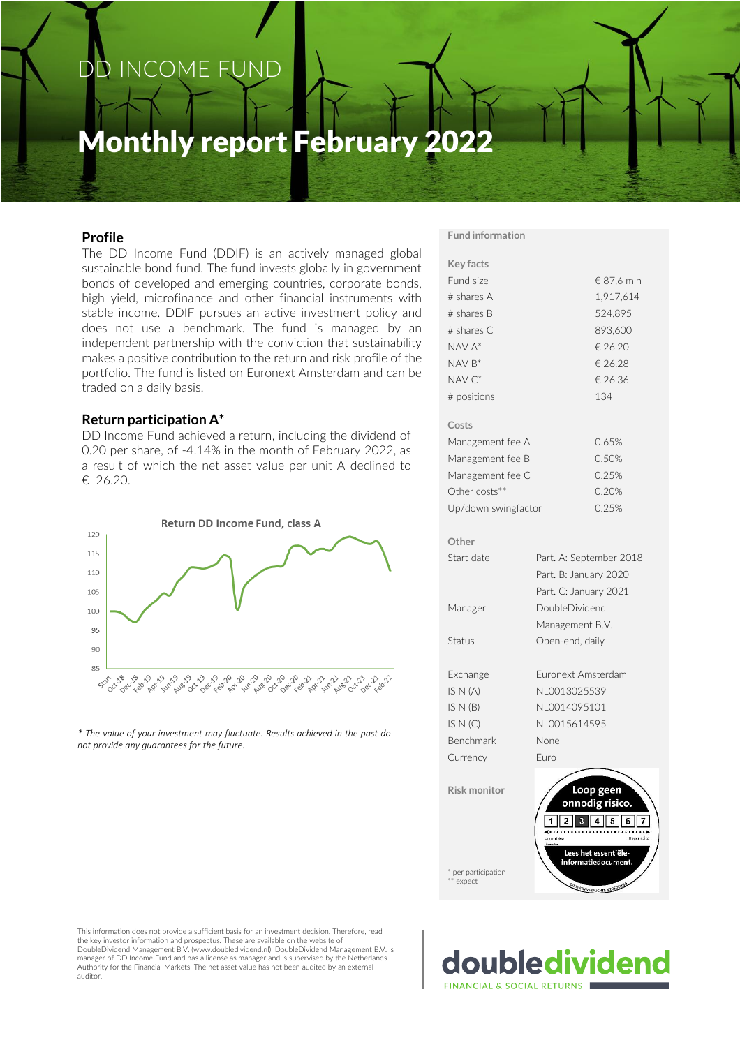# DD INCOME FUND

# Monthly report February 2022

## **Profile**

The DD Income Fund (DDIF) is an actively managed global sustainable bond fund. The fund invests globally in government bonds of developed and emerging countries, corporate bonds, high yield, microfinance and other financial instruments with stable income. DDIF pursues an active investment policy and does not use a benchmark. The fund is managed by an independent partnership with the conviction that sustainability makes a positive contribution to the return and risk profile of the portfolio. The fund is listed on Euronext Amsterdam and can be traded on a daily basis.

#### **Return participation A\***

DD Income Fund achieved a return, including the dividend of 0.20 per share, of -4.14% in the month of February 2022, as a result of which the net asset value per unit A declined to € 26.20.



*\* The value of your investment may fluctuate. Results achieved in the past do not provide any guarantees for the future.*

#### **Fund information**

| <b>Key facts</b>    |                                                                  |  |  |  |  |
|---------------------|------------------------------------------------------------------|--|--|--|--|
| Fund size           | € 87,6 mln                                                       |  |  |  |  |
| # shares A          | 1,917,614                                                        |  |  |  |  |
| # shares B          | 524,895                                                          |  |  |  |  |
| # shares C          | 893,600                                                          |  |  |  |  |
| NAV A*              | € 26.20                                                          |  |  |  |  |
| $NAV B*$            | € 26.28                                                          |  |  |  |  |
| NAV <sub>C</sub> *  | € 26.36                                                          |  |  |  |  |
| # positions         | 134                                                              |  |  |  |  |
| Costs               |                                                                  |  |  |  |  |
| Management fee A    | 0.65%                                                            |  |  |  |  |
| Management fee B    | 0.50%                                                            |  |  |  |  |
| Management fee C    | 0.25%                                                            |  |  |  |  |
| Other costs**       | 0.20%                                                            |  |  |  |  |
| Up/down swingfactor | 0.25%                                                            |  |  |  |  |
| Other               |                                                                  |  |  |  |  |
| Start date          | Part. A: September 2018                                          |  |  |  |  |
|                     | Part. B: January 2020                                            |  |  |  |  |
|                     | Part. C: January 2021                                            |  |  |  |  |
| Manager             | DoubleDividend                                                   |  |  |  |  |
|                     | Management B.V.                                                  |  |  |  |  |
| Status              | Open-end, daily                                                  |  |  |  |  |
| Exchange            | Euronext Amsterdam                                               |  |  |  |  |
| ISIN (A)            | NL0013025539                                                     |  |  |  |  |
| ISIN (B)            | NL0014095101                                                     |  |  |  |  |
| ISIN(C)             | NL0015614595                                                     |  |  |  |  |
| Benchmark           | None                                                             |  |  |  |  |
| Currency            | Euro                                                             |  |  |  |  |
| <b>Risk monitor</b> | Loop geen<br>onnodig risico.<br>6<br>Lager risico<br>Hoger risic |  |  |  |  |
| per participation   | s het essentiële-<br>informatiedocument.                         |  |  |  |  |

\*\* expect

This information does not provide a sufficient basis for an investment decision. Therefore, read the key investor information and prospectus. These are available on the website of DoubleDividend Management B.V. (www.doubledividend.nl). DoubleDividend Management B.V. is manager of DD Income Fund and has a license as manager and is supervised by the Netherlands Authority for the Financial Markets. The net asset value has not been audited by an external auditor.

\* per participation l estimate **FINANCIAL & SOCIAL RETURNS**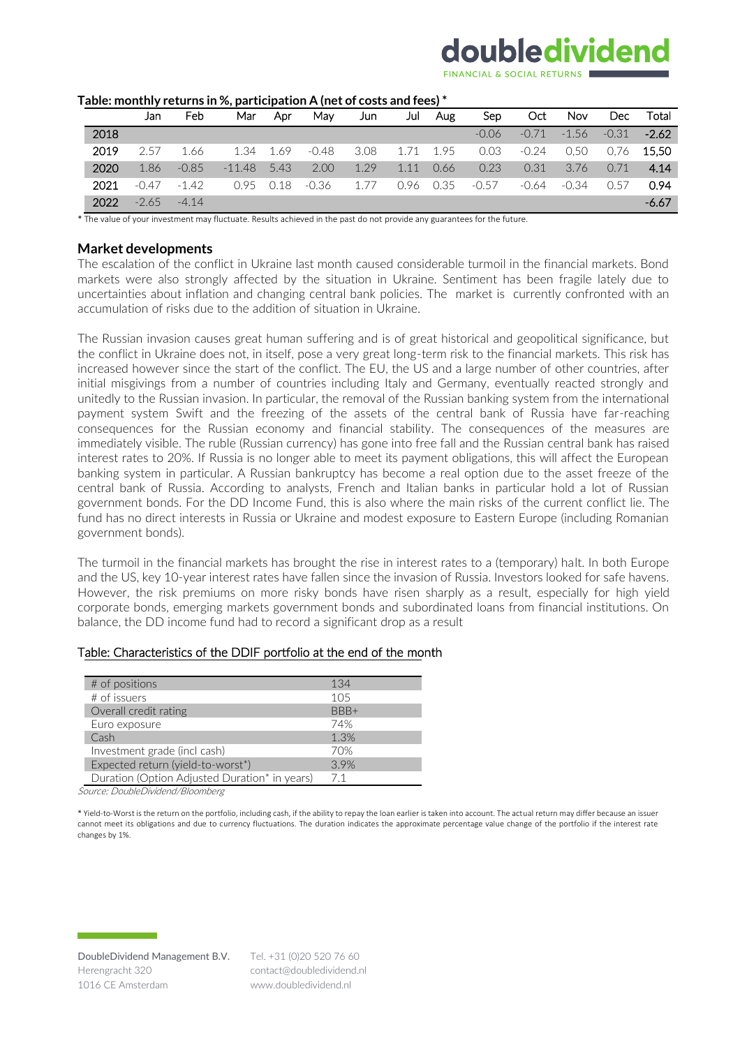# doubledividend

| i abic. Monthly Feturiis III 70, pai ticipation A (Het OF costs and Tees) |      |         |         |          |      |         |      |      |      |         |         |         |            |         |
|---------------------------------------------------------------------------|------|---------|---------|----------|------|---------|------|------|------|---------|---------|---------|------------|---------|
|                                                                           |      | Jan     | Feb     | Mar      | Apr  | Mav     | Jun  | Jul  | Aug  | Sep     | Oct     | Nov     | <b>Dec</b> | Total   |
|                                                                           | 2018 |         |         |          |      |         |      |      |      | $-0.06$ | $-0.71$ | $-1.56$ | $-0.31$    | $-2.62$ |
|                                                                           | 2019 | 2.57    | 1.66    | 1.34     | 1.69 | $-0.48$ | 3.08 | 1.71 | 1.95 | 0.03    | $-0.24$ | 0.50    | 0.76       | 15.50   |
|                                                                           | 2020 | 1.86    | $-0.85$ | $-11.48$ | 5.43 | 2.00    | 1.29 | 1.11 | 0.66 | 0.23    | 0.31    | 3.76    | 0.71       | 4.14    |
|                                                                           | 2021 | $-0.47$ | $-1.42$ | 0.95     | 0.18 | -0.36   | 1.77 | 0.96 | 0.35 | $-0.57$ | $-0.64$ | $-0.34$ | O 57       | 0.94    |
|                                                                           | 2022 | $-2.65$ | $-4.14$ |          |      |         |      |      |      |         |         |         |            | $-6.67$ |

#### **Table: monthly returns in %, participation A (net of costs and fees) \***

\* The value of your investment may fluctuate. Results achieved in the past do not provide any guarantees for the future.

#### **Market developments**

The escalation of the conflict in Ukraine last month caused considerable turmoil in the financial markets. Bond markets were also strongly affected by the situation in Ukraine. Sentiment has been fragile lately due to uncertainties about inflation and changing central bank policies. The market is currently confronted with an accumulation of risks due to the addition of situation in Ukraine.

The Russian invasion causes great human suffering and is of great historical and geopolitical significance, but the conflict in Ukraine does not, in itself, pose a very great long-term risk to the financial markets. This risk has increased however since the start of the conflict. The EU, the US and a large number of other countries, after initial misgivings from a number of countries including Italy and Germany, eventually reacted strongly and unitedly to the Russian invasion. In particular, the removal of the Russian banking system from the international payment system Swift and the freezing of the assets of the central bank of Russia have far-reaching consequences for the Russian economy and financial stability. The consequences of the measures are immediately visible. The ruble (Russian currency) has gone into free fall and the Russian central bank has raised interest rates to 20%. If Russia is no longer able to meet its payment obligations, this will affect the European banking system in particular. A Russian bankruptcy has become a real option due to the asset freeze of the central bank of Russia. According to analysts, French and Italian banks in particular hold a lot of Russian government bonds. For the DD Income Fund, this is also where the main risks of the current conflict lie. The fund has no direct interests in Russia or Ukraine and modest exposure to Eastern Europe (including Romanian government bonds).

The turmoil in the financial markets has brought the rise in interest rates to a (temporary) halt. In both Europe and the US, key 10-year interest rates have fallen since the invasion of Russia. Investors looked for safe havens. However, the risk premiums on more risky bonds have risen sharply as a result, especially for high yield corporate bonds, emerging markets government bonds and subordinated loans from financial institutions. On balance, the DD income fund had to record a significant drop as a result

#### Table: Characteristics of the DDIF portfolio at the end of the month

| # of positions                                | 134  |
|-----------------------------------------------|------|
| # of issuers                                  | 105  |
| Overall credit rating                         | BBB+ |
| Euro exposure                                 | 74%  |
| Cash                                          | 1.3% |
| Investment grade (incl cash)                  | 70%  |
| Expected return (yield-to-worst*)             | 3.9% |
| Duration (Option Adjusted Duration* in years) | 7.1  |

Source: DoubleDividend/Bloomberg

\* Yield-to-Worst is the return on the portfolio, including cash, if the ability to repay the loan earlier is taken into account. The actual return may differ because an issuer cannot meet its obligations and due to currency fluctuations. The duration indicates the approximate percentage value change of the portfolio if the interest rate changes by 1%.

Tel. +31 (0)20 520 76 60 contact@doubledividend.nl www.doubledividend.nl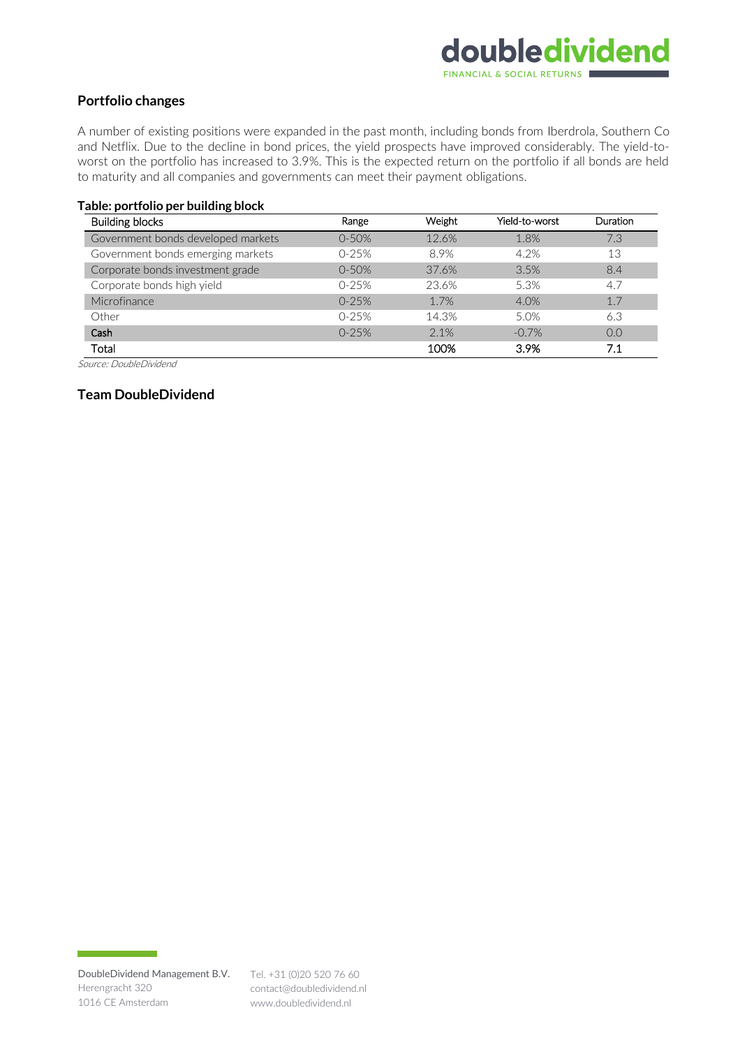# doubledividend **FINANCIAL & SOCIAL RETURNS**

# **Portfolio changes**

A number of existing positions were expanded in the past month, including bonds from Iberdrola, Southern Co and Netflix. Due to the decline in bond prices, the yield prospects have improved considerably. The yield-toworst on the portfolio has increased to 3.9%. This is the expected return on the portfolio if all bonds are held to maturity and all companies and governments can meet their payment obligations.

#### **Table: portfolio per building block**

| <b>Building blocks</b>             | Range     | Weight | Yield-to-worst | <b>Duration</b> |
|------------------------------------|-----------|--------|----------------|-----------------|
| Government bonds developed markets | $0 - 50%$ | 12.6%  | 1.8%           | 7.3             |
| Government bonds emerging markets  | 0-25%     | 8.9%   | 4.2%           | 13              |
| Corporate bonds investment grade   | $0 - 50%$ | 37.6%  | 3.5%           | 8.4             |
| Corporate bonds high yield         | 0-25%     | 23.6%  | 5.3%           | 4.7             |
| Microfinance                       | $0-25%$   | 1.7%   | 4.0%           | 1.7             |
| Other                              | $0-25%$   | 14.3%  | 5.0%           | 6.3             |
| Cash                               | $0-25%$   | 2.1%   | $-0.7%$        | 0.0             |
| Total                              |           | 100%   | 3.9%           | 7.1             |

Source: DoubleDividend

## **Team DoubleDividend**

contact@doubledividend.nl www.doubledividend.nl